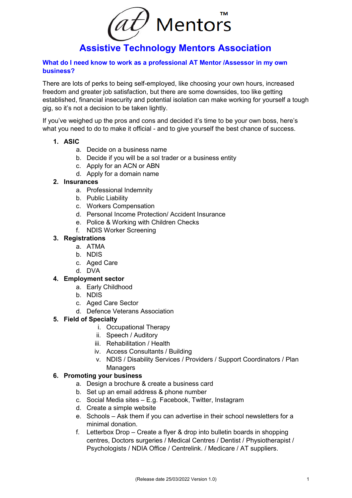$(a\mathcal{t})$  Mentors

# **Assistive Technology Mentors Association**

#### **What do I need know to work as a professional AT Mentor /Assessor in my own business?**

There are lots of perks to being self-employed, like choosing your own hours, increased freedom and greater job satisfaction, but there are some downsides, too like getting established, financial insecurity and potential isolation can make working for yourself a tough gig, so it's not a decision to be taken lightly.

If you've weighed up the pros and cons and decided it's time to be your own boss, here's what you need to do to make it official - and to give yourself the best chance of success.

### **1. ASIC**

- a. Decide on a business name
- b. Decide if you will be a sol trader or a business entity
- c. Apply for an ACN or ABN
- d. Apply for a domain name

#### **2. Insurances**

- a. Professional Indemnity
- b. Public Liability
- c. Workers Compensation
- d. Personal Income Protection/ Accident Insurance
- e. Police & Working with Children Checks
- f. NDIS Worker Screening

## **3. Registrations**

- a. ATMA
- b. NDIS
- c. Aged Care
- d. DVA

#### **4. Employment sector**

- a. Early Childhood
- b. NDIS
- c. Aged Care Sector
- d. Defence Veterans Association

#### **5. Field of Specialty**

- i. Occupational Therapy
- ii. Speech / Auditory
- iii. Rehabilitation / Health
- iv. Access Consultants / Building
- v. NDIS / Disability Services / Providers / Support Coordinators / Plan **Managers**

## **6. Promoting your business**

- a. Design a brochure & create a business card
- b. Set up an email address & phone number
- c. Social Media sites E.g. Facebook, Twitter, Instagram
- d. Create a simple website
- e. Schools Ask them if you can advertise in their school newsletters for a minimal donation.
- f. Letterbox Drop Create a flyer & drop into bulletin boards in shopping centres, Doctors surgeries / Medical Centres / Dentist / Physiotherapist / Psychologists / NDIA Office / Centrelink. / Medicare / AT suppliers.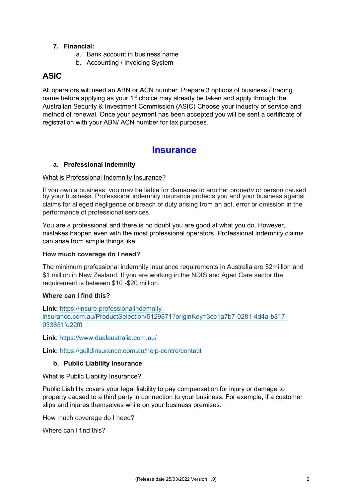## **7. Financial:**

- a. Bank account in business name
- b. Accounting / Invoicing System

# **ASIC**

All operators will need an ABN or ACN number. Prepare 3 options of business / trading name before applying as your 1<sup>st</sup> choice may already be taken and apply through the Australian Security & Investment Commission (ASIC) Choose your industry of service and method of renewal. Once your payment has been accepted you will be sent a certificate of registration with your ABN/ ACN number for tax purposes.

# **Insurance**

#### **a. Professional Indemnity**

#### What is Professional Indemnity Insurance?

If you own a business, you may be liable for damages to another property or person caused by your business. Professional indemnity insurance protects you and your business against claims for alleged negligence or breach of duty arising from an act, error or omission in the performance of professional services.

You are a professional and there is no doubt you are good at what you do. However, mistakes happen even with the most professional operators. Professional Indemnity claims can arise from simple things like:

#### **How much coverage do I need?**

The minimum professional indemnity insurance requirements in Australia are \$2million and \$1 million in New Zealand. If you are working in the NDIS and Aged Care sector the requirement is between \$10 -\$20 million.

#### **Where can I find this?**

**Link:** [https://insure.professionalindemnity](https://insure.professionalindemnity-insurance.com.au/ProductSelection/5129871?originKey=3ce1a7b7-0281-4d4a-b817-033851fe22f0)[insurance.com.au/ProductSelection/5129871?originKey=3ce1a7b7-0281-4d4a-b817-](https://insure.professionalindemnity-insurance.com.au/ProductSelection/5129871?originKey=3ce1a7b7-0281-4d4a-b817-033851fe22f0) [033851fe22f0](https://insure.professionalindemnity-insurance.com.au/ProductSelection/5129871?originKey=3ce1a7b7-0281-4d4a-b817-033851fe22f0)

**Link**:<https://www.dualaustralia.com.au/>

**Link:** <https://guildinsurance.com.au/help-centre/contact>

#### **b. Public Liability Insurance**

#### What is Public Liability Insurance?

Public Liability covers your legal liability to pay compensation for injury or damage to property caused to a third party in connection to your business. For example, if a customer slips and injures themselves while on your business premises.

How much coverage do I need?

Where can I find this?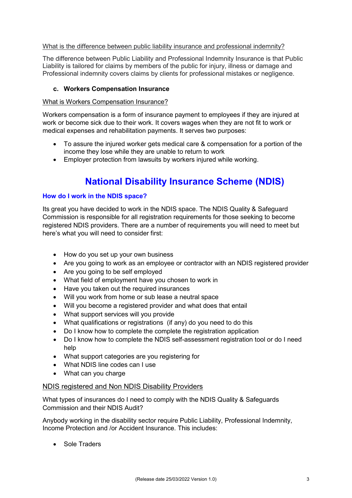#### What is the difference between public liability insurance and professional indemnity?

The difference between Public Liability and Professional Indemnity Insurance is that Public Liability is tailored for claims by members of the public for injury, illness or damage and Professional indemnity covers claims by clients for professional mistakes or negligence.

#### **c. Workers Compensation Insurance**

#### What is Workers Compensation Insurance?

Workers compensation is a form of insurance payment to employees if they are injured at work or become sick due to their work. It covers wages when they are not fit to work or medical expenses and rehabilitation payments. It serves two purposes:

- To assure the injured worker gets medical care & compensation for a portion of the income they lose while they are unable to return to work
- Employer protection from lawsuits by workers injured while working.

# **National Disability Insurance Scheme (NDIS)**

#### **How do I work in the NDIS space?**

Its great you have decided to work in the NDIS space. The NDIS Quality & Safeguard Commission is responsible for all registration requirements for those seeking to become registered NDIS providers. There are a number of requirements you will need to meet but here's what you will need to consider first:

- How do you set up your own business
- Are you going to work as an employee or contractor with an NDIS registered provider
- Are you going to be self employed
- What field of employment have you chosen to work in
- Have you taken out the required insurances
- Will you work from home or sub lease a neutral space
- Will you become a registered provider and what does that entail
- What support services will you provide
- What qualifications or registrations (if any) do you need to do this
- Do I know how to complete the complete the registration application
- Do I know how to complete the NDIS self-assessment registration tool or do I need help
- What support categories are you registering for
- What NDIS line codes can I use
- What can you charge

#### NDIS registered and Non NDIS Disability Providers

What types of insurances do I need to comply with the NDIS Quality & Safeguards Commission and their NDIS Audit?

Anybody working in the disability sector require Public Liability, Professional Indemnity, Income Protection and /or Accident Insurance. This includes:

• Sole Traders